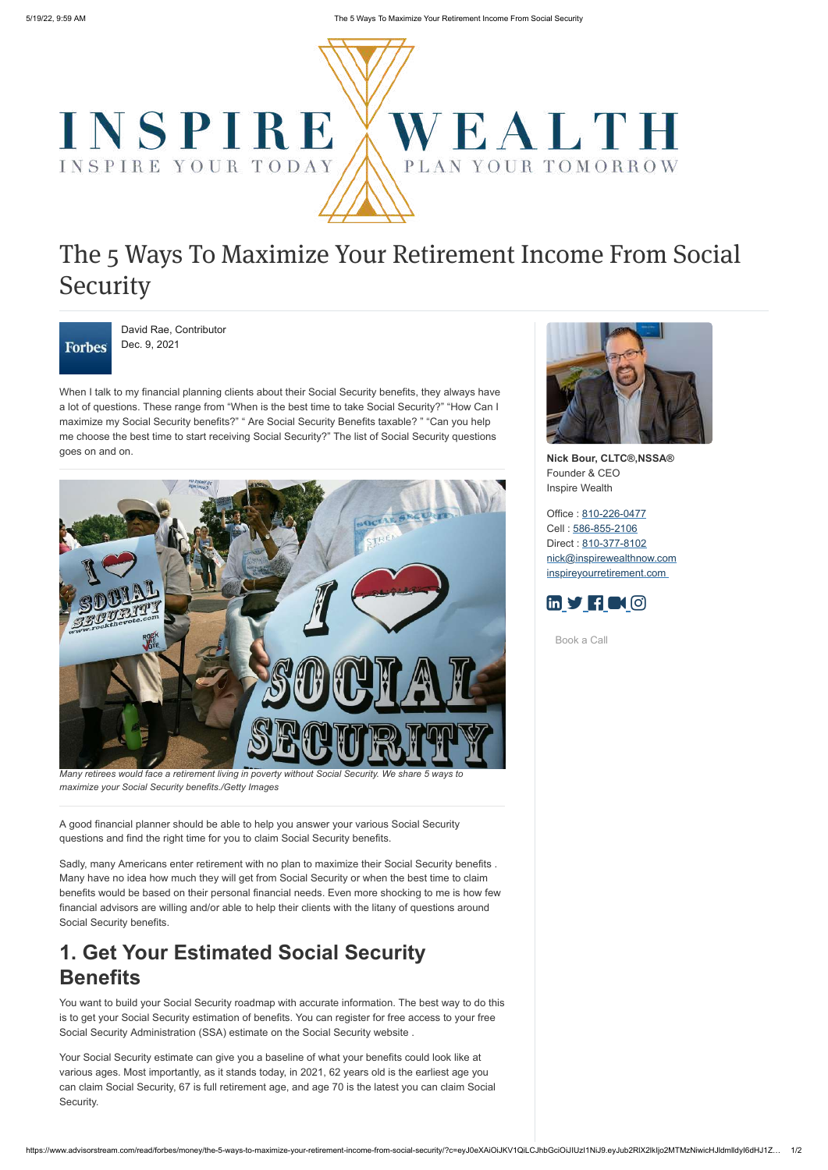

https://www.advisorstream.com/read/forbes/money/the-5-ways-to-maximize-your-retirement-income-from-social-security/?c=eyJ0eXAiOiJKV1QiLCJhbGciOiJIUzI1NiJ9.eyJub2RlX2lkIjo2MTMzNiwicHJldmlldyI6dHJ1Z… 1/2

# The 5 Ways To Maximize Your Retirement Income From Social Security



David Rae, Contributor Dec. 9, 2021

When I talk to my financial planning clients about their Social Security benefits, they always have a lot of questions. These range from "When is the best time to take Social Security?" "How Can I maximize my Social Security benefits?" " Are Social Security Benefits taxable? " "Can you help me choose the best time to start receiving Social Security?" The list of Social Security questions goes on and on.



*Many retirees would face a retirement living in poverty without Social Security. We share 5 ways to maximize your Social Security benefits./Getty Images*

A good financial planner should be able to help you answer your various Social Security questions and find the right time for you to claim Social Security benefits.

Sadly, many Americans enter retirement with no plan to maximize their Social Security benefits . Many have no idea how much they will get from Social Security or when the best time to claim benefits would be based on their personal financial needs. Even more shocking to me is how few financial advisors are willing and/or able to help their clients with the litany of questions around Social Security benefits.

# **1. Get Your Estimated Social Security Benefits**

You want to build your Social Security roadmap with accurate information. The best way to do this is to get your Social Security estimation of benefits. You can register for free access to your free Social Security Administration (SSA) estimate on the Social Security website .

Your Social Security estimate can give you a baseline of what your benefits could look like at various ages. Most importantly, as it stands today, in 2021, 62 years old is the earliest age you can claim Social Security, 67 is full retirement age, and age 70 is the latest you can claim Social Security.



**Nick Bour, CLTC®,NSSA®** Founder & CEO Inspire Wealth

Office : [810-226-0477](tel:810-226-0477) Cell : [586-855-2106](tel:586-855-2106) Direct : [810-377-8102](tel:810-377-8102) [nick@inspirewealthnow.com](mailto:nick@inspirewealthnow.com) [inspireyourretirement.com](https://inspireyourretirement.com/)



[Book a Call](https://calendly.com/inspirewealth/initial-call)